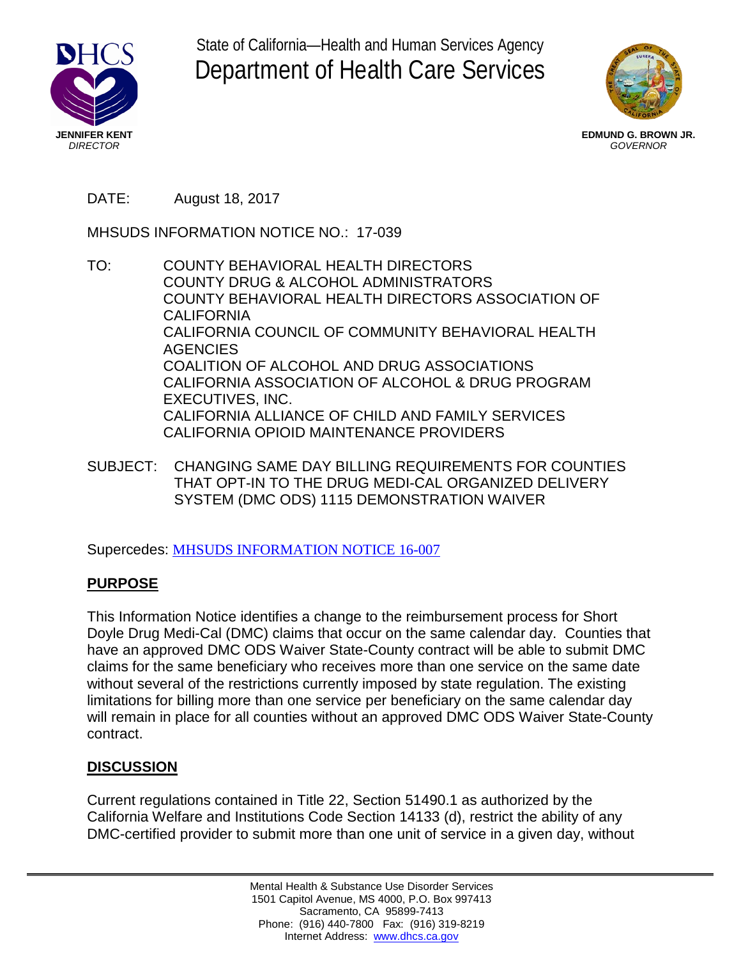

State of California—Health and Human Services Agency Department of Health Care Services



**EDMUND G. BROWN JR.** *GOVERNOR*

## DATE: August 18, 2017

MHSUDS INFORMATION NOTICE NO.: 17-039

- TO: COUNTY BEHAVIORAL HEALTH DIRECTORS COUNTY DRUG & ALCOHOL ADMINISTRATORS COUNTY BEHAVIORAL HEALTH DIRECTORS ASSOCIATION OF CALIFORNIA CALIFORNIA COUNCIL OF COMMUNITY BEHAVIORAL HEALTH **AGENCIES** COALITION OF ALCOHOL AND DRUG ASSOCIATIONS CALIFORNIA ASSOCIATION OF ALCOHOL & DRUG PROGRAM EXECUTIVES, INC. CALIFORNIA ALLIANCE OF CHILD AND FAMILY SERVICES CALIFORNIA OPIOID MAINTENANCE PROVIDERS
- SUBJECT: CHANGING SAME DAY BILLING REQUIREMENTS FOR COUNTIES THAT OPT-IN TO THE DRUG MEDI-CAL ORGANIZED DELIVERY SYSTEM (DMC ODS) 1115 DEMONSTRATION WAIVER

Supercedes: MHSUDS [INFORMATION NOTICE 16-007](http://www.dhcs.ca.gov/formsandpubs/Pages/Information_Notices_2016.aspx) 

### **PURPOSE**

This Information Notice identifies a change to the reimbursement process for Short Doyle Drug Medi-Cal (DMC) claims that occur on the same calendar day. Counties that have an approved DMC ODS Waiver State-County contract will be able to submit DMC claims for the same beneficiary who receives more than one service on the same date without several of the restrictions currently imposed by state regulation. The existing limitations for billing more than one service per beneficiary on the same calendar day will remain in place for all counties without an approved DMC ODS Waiver State-County contract.

# **DISCUSSION**

Current regulations contained in Title 22, Section 51490.1 as authorized by the California Welfare and Institutions Code Section 14133 (d), restrict the ability of any DMC-certified provider to submit more than one unit of service in a given day, without